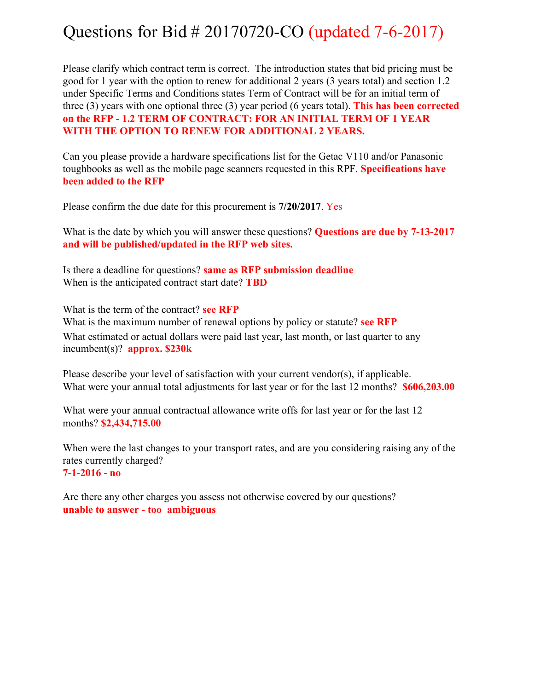## Questions for Bid # 20170720-CO (updated 7-6-2017)

Please clarify which contract term is correct. The introduction states that bid pricing must be good for 1 year with the option to renew for additional 2 years (3 years total) and section 1.2 under Specific Terms and Conditions states Term of Contract will be for an initial term of three (3) years with one optional three (3) year period (6 years total). **This has been corrected on the RFP - 1.2 TERM OF CONTRACT: FOR AN INITIAL TERM OF 1 YEAR WITH THE OPTION TO RENEW FOR ADDITIONAL 2 YEARS.**

Can you please provide a hardware specifications list for the Getac V110 and/or Panasonic toughbooks as well as the mobile page scanners requested in this RPF. **Specifications have been added to the RFP**

Please confirm the due date for this procurement is **7/20/2017**. Yes

What is the date by which you will answer these questions? **Questions are due by 7-13-2017 and will be published/updated in the RFP web sites.**

Is there a deadline for questions? **same as RFP submission deadline**  When is the anticipated contract start date? **TBD** 

What is the term of the contract? **see RFP**  What is the maximum number of renewal options by policy or statute? **see RFP**  What estimated or actual dollars were paid last year, last month, or last quarter to any incumbent(s)? **approx. \$230k** 

Please describe your level of satisfaction with your current vendor(s), if applicable. What were your annual total adjustments for last year or for the last 12 months? **\$606,203.00**

What were your annual contractual allowance write offs for last year or for the last 12 months? **\$2,434,715.00**

When were the last changes to your transport rates, and are you considering raising any of the rates currently charged? **7-1-2016 - no**

Are there any other charges you assess not otherwise covered by our questions? **unable to answer - too ambiguous**